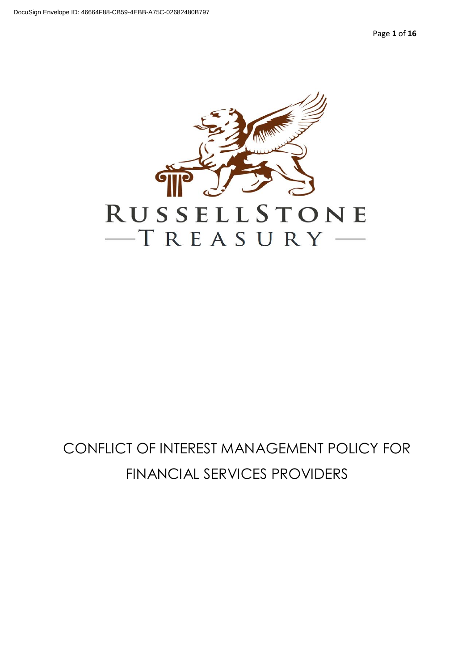Page **1** of **16**



# <span id="page-0-0"></span>CONFLICT OF INTEREST MANAGEMENT POLICY FOR FINANCIAL SERVICES PROVIDERS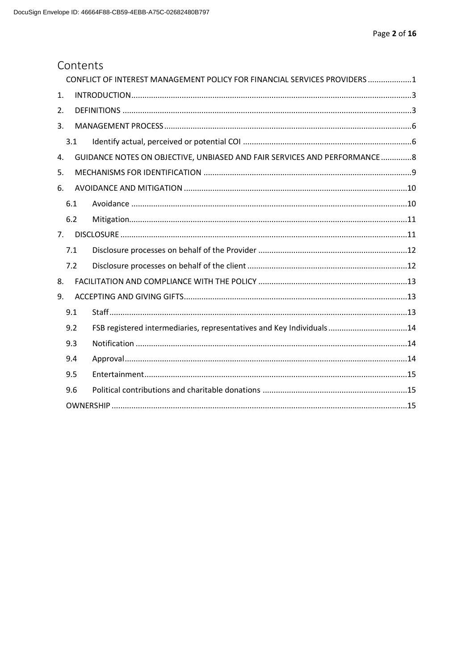### Contents

|                |     | CONFLICT OF INTEREST MANAGEMENT POLICY FOR FINANCIAL SERVICES PROVIDERS 1  |  |
|----------------|-----|----------------------------------------------------------------------------|--|
| 1.             |     |                                                                            |  |
| 2.             |     |                                                                            |  |
| 3.             |     |                                                                            |  |
|                | 3.1 |                                                                            |  |
| 4.             |     | GUIDANCE NOTES ON OBJECTIVE, UNBIASED AND FAIR SERVICES AND PERFORMANCE  8 |  |
| 5.             |     |                                                                            |  |
| 6.             |     |                                                                            |  |
|                | 6.1 |                                                                            |  |
|                | 6.2 |                                                                            |  |
| 7 <sup>1</sup> |     |                                                                            |  |
|                | 7.1 |                                                                            |  |
|                | 7.2 |                                                                            |  |
| 8.             |     |                                                                            |  |
| 9.             |     |                                                                            |  |
|                | 9.1 |                                                                            |  |
|                | 9.2 | FSB registered intermediaries, representatives and Key Individuals14       |  |
|                | 9.3 |                                                                            |  |
|                | 9.4 |                                                                            |  |
|                | 9.5 |                                                                            |  |
|                | 9.6 |                                                                            |  |
|                |     |                                                                            |  |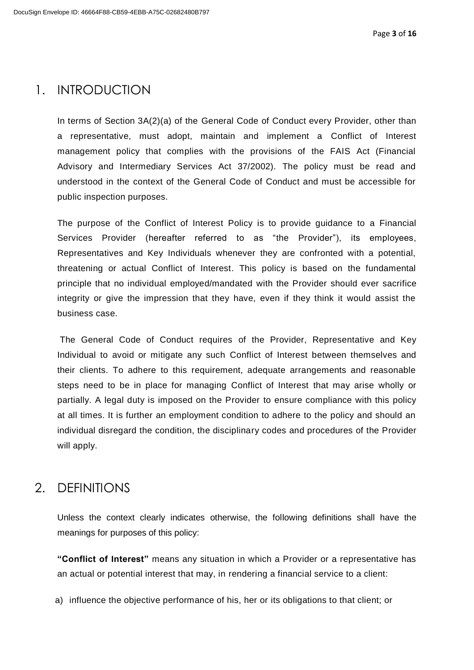### <span id="page-2-0"></span>1. INTRODUCTION

In terms of Section 3A(2)(a) of the General Code of Conduct every Provider, other than a representative, must adopt, maintain and implement a Conflict of Interest management policy that complies with the provisions of the FAIS Act (Financial Advisory and Intermediary Services Act 37/2002). The policy must be read and understood in the context of the General Code of Conduct and must be accessible for public inspection purposes.

The purpose of the Conflict of Interest Policy is to provide guidance to a Financial Services Provider (hereafter referred to as "the Provider"), its employees, Representatives and Key Individuals whenever they are confronted with a potential, threatening or actual Conflict of Interest. This policy is based on the fundamental principle that no individual employed/mandated with the Provider should ever sacrifice integrity or give the impression that they have, even if they think it would assist the business case.

The General Code of Conduct requires of the Provider, Representative and Key Individual to avoid or mitigate any such Conflict of Interest between themselves and their clients. To adhere to this requirement, adequate arrangements and reasonable steps need to be in place for managing Conflict of Interest that may arise wholly or partially. A legal duty is imposed on the Provider to ensure compliance with this policy at all times. It is further an employment condition to adhere to the policy and should an individual disregard the condition, the disciplinary codes and procedures of the Provider will apply.

### <span id="page-2-1"></span>2. DEFINITIONS

Unless the context clearly indicates otherwise, the following definitions shall have the meanings for purposes of this policy:

**"Conflict of Interest"** means any situation in which a Provider or a representative has an actual or potential interest that may, in rendering a financial service to a client:

a) influence the objective performance of his, her or its obligations to that client; or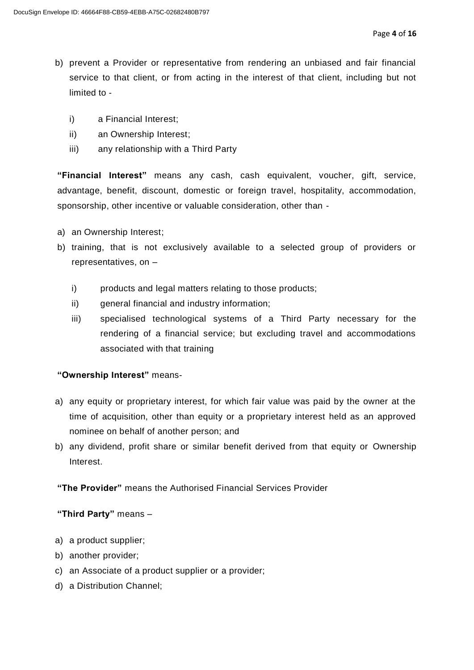- b) prevent a Provider or representative from rendering an unbiased and fair financial service to that client, or from acting in the interest of that client, including but not limited to
	- i) a Financial Interest;
	- ii) an Ownership Interest;
	- iii) any relationship with a Third Party

**"Financial Interest"** means any cash, cash equivalent, voucher, gift, service, advantage, benefit, discount, domestic or foreign travel, hospitality, accommodation, sponsorship, other incentive or valuable consideration, other than -

- a) an Ownership Interest;
- b) training, that is not exclusively available to a selected group of providers or representatives, on –
	- i) products and legal matters relating to those products;
	- ii) general financial and industry information;
	- iii) specialised technological systems of a Third Party necessary for the rendering of a financial service; but excluding travel and accommodations associated with that training

#### **"Ownership Interest"** means-

- a) any equity or proprietary interest, for which fair value was paid by the owner at the time of acquisition, other than equity or a proprietary interest held as an approved nominee on behalf of another person; and
- b) any dividend, profit share or similar benefit derived from that equity or Ownership Interest.

#### **"The Provider"** means the Authorised Financial Services Provider

#### **"Third Party"** means –

- a) a product supplier;
- b) another provider;
- c) an Associate of a product supplier or a provider;
- d) a Distribution Channel;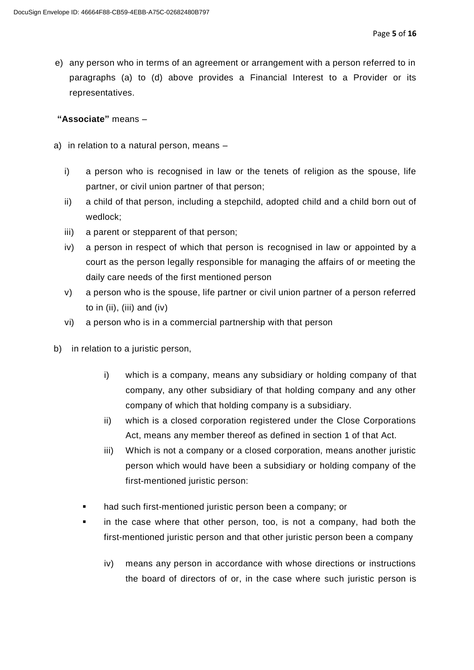e) any person who in terms of an agreement or arrangement with a person referred to in paragraphs (a) to (d) above provides a Financial Interest to a Provider or its representatives.

#### **"Associate"** means –

- a) in relation to a natural person, means
	- i) a person who is recognised in law or the tenets of religion as the spouse, life partner, or civil union partner of that person;
	- ii) a child of that person, including a stepchild, adopted child and a child born out of wedlock;
	- iii) a parent or stepparent of that person;
	- iv) a person in respect of which that person is recognised in law or appointed by a court as the person legally responsible for managing the affairs of or meeting the daily care needs of the first mentioned person
	- v) a person who is the spouse, life partner or civil union partner of a person referred to in (ii), (iii) and (iv)
	- vi) a person who is in a commercial partnership with that person
- b) in relation to a juristic person,
	- i) which is a company, means any subsidiary or holding company of that company, any other subsidiary of that holding company and any other company of which that holding company is a subsidiary.
	- ii) which is a closed corporation registered under the Close Corporations Act, means any member thereof as defined in section 1 of that Act.
	- iii) Which is not a company or a closed corporation, means another juristic person which would have been a subsidiary or holding company of the first-mentioned juristic person:
	- had such first-mentioned juristic person been a company; or
	- in the case where that other person, too, is not a company, had both the first-mentioned juristic person and that other juristic person been a company
		- iv) means any person in accordance with whose directions or instructions the board of directors of or, in the case where such juristic person is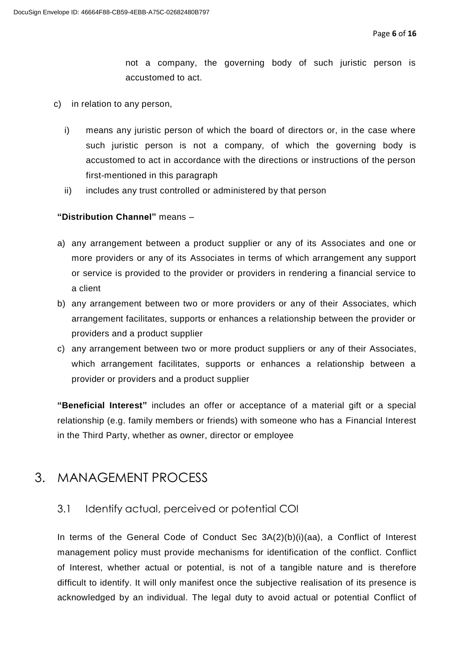not a company, the governing body of such juristic person is accustomed to act.

- c) in relation to any person,
	- i) means any juristic person of which the board of directors or, in the case where such juristic person is not a company, of which the governing body is accustomed to act in accordance with the directions or instructions of the person first-mentioned in this paragraph
	- ii) includes any trust controlled or administered by that person

#### **"Distribution Channel"** means –

- a) any arrangement between a product supplier or any of its Associates and one or more providers or any of its Associates in terms of which arrangement any support or service is provided to the provider or providers in rendering a financial service to a client
- b) any arrangement between two or more providers or any of their Associates, which arrangement facilitates, supports or enhances a relationship between the provider or providers and a product supplier
- c) any arrangement between two or more product suppliers or any of their Associates, which arrangement facilitates, supports or enhances a relationship between a provider or providers and a product supplier

**"Beneficial Interest"** includes an offer or acceptance of a material gift or a special relationship (e.g. family members or friends) with someone who has a Financial Interest in the Third Party, whether as owner, director or employee

### <span id="page-5-0"></span>3. MANAGEMENT PROCESS

#### <span id="page-5-1"></span>3.1 Identify actual, perceived or potential COI

In terms of the General Code of Conduct Sec 3A(2)(b)(i)(aa), a Conflict of Interest management policy must provide mechanisms for identification of the conflict. Conflict of Interest, whether actual or potential, is not of a tangible nature and is therefore difficult to identify. It will only manifest once the subjective realisation of its presence is acknowledged by an individual. The legal duty to avoid actual or potential Conflict of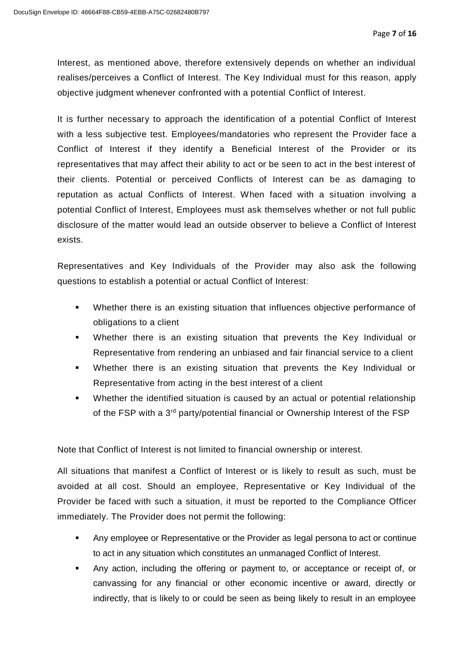Interest, as mentioned above, therefore extensively depends on whether an individual realises/perceives a Conflict of Interest. The Key Individual must for this reason, apply objective judgment whenever confronted with a potential Conflict of Interest.

It is further necessary to approach the identification of a potential Conflict of Interest with a less subjective test. Employees/mandatories who represent the Provider face a Conflict of Interest if they identify a Beneficial Interest of the Provider or its representatives that may affect their ability to act or be seen to act in the best interest of their clients. Potential or perceived Conflicts of Interest can be as damaging to reputation as actual Conflicts of Interest. When faced with a situation involving a potential Conflict of Interest, Employees must ask themselves whether or not full public disclosure of the matter would lead an outside observer to believe a Conflict of Interest exists.

Representatives and Key Individuals of the Provider may also ask the following questions to establish a potential or actual Conflict of Interest:

- Whether there is an existing situation that influences objective performance of obligations to a client
- Whether there is an existing situation that prevents the Key Individual or Representative from rendering an unbiased and fair financial service to a client
- Whether there is an existing situation that prevents the Key Individual or Representative from acting in the best interest of a client
- Whether the identified situation is caused by an actual or potential relationship of the FSP with a 3<sup>rd</sup> party/potential financial or Ownership Interest of the FSP

Note that Conflict of Interest is not limited to financial ownership or interest.

All situations that manifest a Conflict of Interest or is likely to result as such, must be avoided at all cost. Should an employee, Representative or Key Individual of the Provider be faced with such a situation, it must be reported to the Compliance Officer immediately. The Provider does not permit the following:

- Any employee or Representative or the Provider as legal persona to act or continue to act in any situation which constitutes an unmanaged Conflict of Interest.
- Any action, including the offering or payment to, or acceptance or receipt of, or canvassing for any financial or other economic incentive or award, directly or indirectly, that is likely to or could be seen as being likely to result in an employee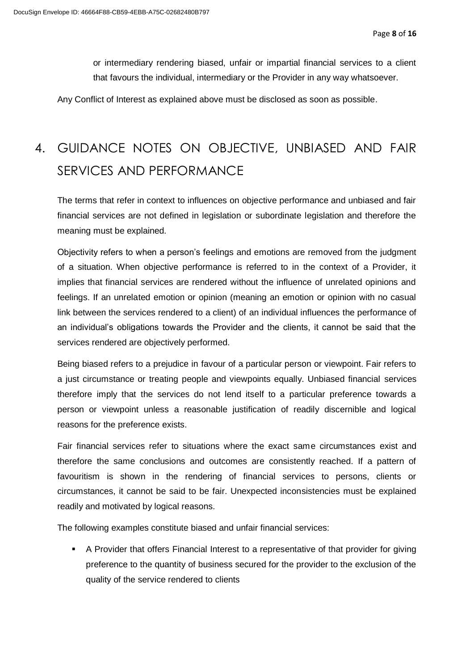or intermediary rendering biased, unfair or impartial financial services to a client that favours the individual, intermediary or the Provider in any way whatsoever.

Any Conflict of Interest as explained above must be disclosed as soon as possible.

# <span id="page-7-0"></span>4. GUIDANCE NOTES ON OBJECTIVE, UNBIASED AND FAIR SERVICES AND PERFORMANCE

The terms that refer in context to influences on objective performance and unbiased and fair financial services are not defined in legislation or subordinate legislation and therefore the meaning must be explained.

Objectivity refers to when a person's feelings and emotions are removed from the judgment of a situation. When objective performance is referred to in the context of a Provider, it implies that financial services are rendered without the influence of unrelated opinions and feelings. If an unrelated emotion or opinion (meaning an emotion or opinion with no casual link between the services rendered to a client) of an individual influences the performance of an individual's obligations towards the Provider and the clients, it cannot be said that the services rendered are objectively performed.

Being biased refers to a prejudice in favour of a particular person or viewpoint. Fair refers to a just circumstance or treating people and viewpoints equally. Unbiased financial services therefore imply that the services do not lend itself to a particular preference towards a person or viewpoint unless a reasonable justification of readily discernible and logical reasons for the preference exists.

Fair financial services refer to situations where the exact same circumstances exist and therefore the same conclusions and outcomes are consistently reached. If a pattern of favouritism is shown in the rendering of financial services to persons, clients or circumstances, it cannot be said to be fair. Unexpected inconsistencies must be explained readily and motivated by logical reasons.

The following examples constitute biased and unfair financial services:

▪ A Provider that offers Financial Interest to a representative of that provider for giving preference to the quantity of business secured for the provider to the exclusion of the quality of the service rendered to clients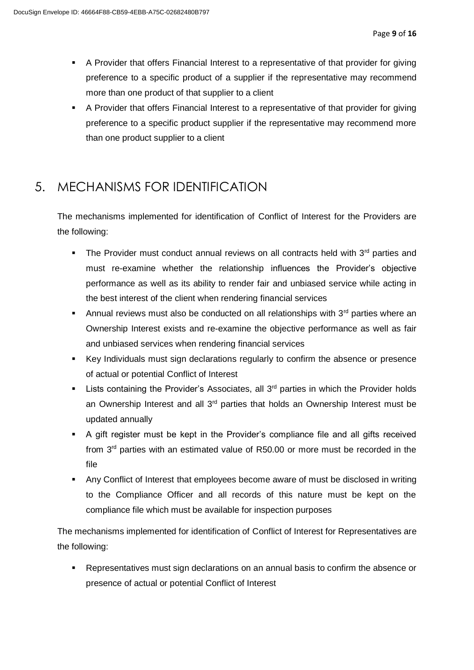- A Provider that offers Financial Interest to a representative of that provider for giving preference to a specific product of a supplier if the representative may recommend more than one product of that supplier to a client
- A Provider that offers Financial Interest to a representative of that provider for giving preference to a specific product supplier if the representative may recommend more than one product supplier to a client

## <span id="page-8-0"></span>5. MECHANISMS FOR IDENTIFICATION

The mechanisms implemented for identification of Conflict of Interest for the Providers are the following:

- **•** The Provider must conduct annual reviews on all contracts held with  $3^{rd}$  parties and must re-examine whether the relationship influences the Provider's objective performance as well as its ability to render fair and unbiased service while acting in the best interest of the client when rendering financial services
- **•** Annual reviews must also be conducted on all relationships with  $3<sup>rd</sup>$  parties where an Ownership Interest exists and re-examine the objective performance as well as fair and unbiased services when rendering financial services
- Key Individuals must sign declarations regularly to confirm the absence or presence of actual or potential Conflict of Interest
- **E** Lists containing the Provider's Associates, all 3<sup>rd</sup> parties in which the Provider holds an Ownership Interest and all  $3<sup>rd</sup>$  parties that holds an Ownership Interest must be updated annually
- A gift register must be kept in the Provider's compliance file and all gifts received from  $3<sup>rd</sup>$  parties with an estimated value of R50.00 or more must be recorded in the file
- **Any Conflict of Interest that employees become aware of must be disclosed in writing** to the Compliance Officer and all records of this nature must be kept on the compliance file which must be available for inspection purposes

The mechanisms implemented for identification of Conflict of Interest for Representatives are the following:

■ Representatives must sign declarations on an annual basis to confirm the absence or presence of actual or potential Conflict of Interest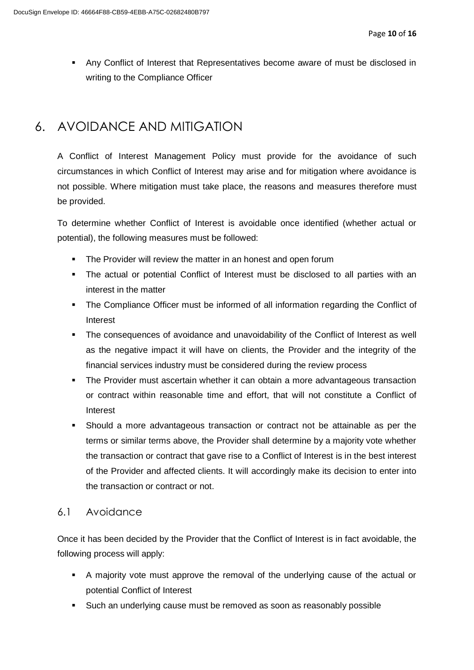**• Any Conflict of Interest that Representatives become aware of must be disclosed in** writing to the Compliance Officer

# <span id="page-9-0"></span>6. AVOIDANCE AND MITIGATION

A Conflict of Interest Management Policy must provide for the avoidance of such circumstances in which Conflict of Interest may arise and for mitigation where avoidance is not possible. Where mitigation must take place, the reasons and measures therefore must be provided.

To determine whether Conflict of Interest is avoidable once identified (whether actual or potential), the following measures must be followed:

- **•** The Provider will review the matter in an honest and open forum
- The actual or potential Conflict of Interest must be disclosed to all parties with an interest in the matter
- **•** The Compliance Officer must be informed of all information regarding the Conflict of Interest
- **•** The consequences of avoidance and unavoidability of the Conflict of Interest as well as the negative impact it will have on clients, the Provider and the integrity of the financial services industry must be considered during the review process
- The Provider must ascertain whether it can obtain a more advantageous transaction or contract within reasonable time and effort, that will not constitute a Conflict of Interest
- Should a more advantageous transaction or contract not be attainable as per the terms or similar terms above, the Provider shall determine by a majority vote whether the transaction or contract that gave rise to a Conflict of Interest is in the best interest of the Provider and affected clients. It will accordingly make its decision to enter into the transaction or contract or not.

### <span id="page-9-1"></span>6.1 Avoidance

Once it has been decided by the Provider that the Conflict of Interest is in fact avoidable, the following process will apply:

- A majority vote must approve the removal of the underlying cause of the actual or potential Conflict of Interest
- Such an underlying cause must be removed as soon as reasonably possible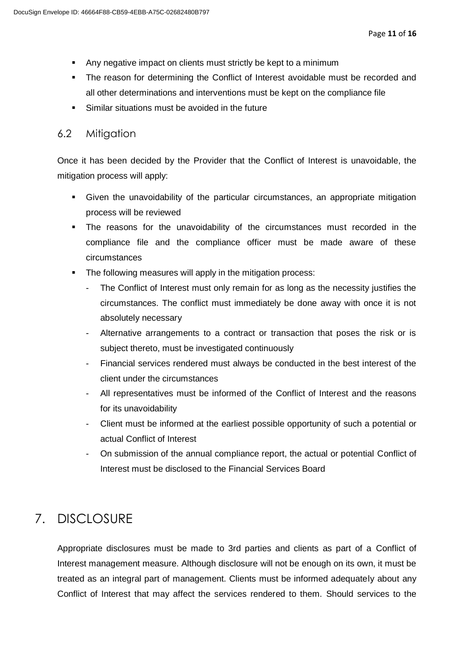- Any negative impact on clients must strictly be kept to a minimum
- The reason for determining the Conflict of Interest avoidable must be recorded and all other determinations and interventions must be kept on the compliance file
- Similar situations must be avoided in the future

#### <span id="page-10-0"></span>6.2 Mitigation

Once it has been decided by the Provider that the Conflict of Interest is unavoidable, the mitigation process will apply:

- Given the unavoidability of the particular circumstances, an appropriate mitigation process will be reviewed
- The reasons for the unavoidability of the circumstances must recorded in the compliance file and the compliance officer must be made aware of these circumstances
- The following measures will apply in the mitigation process:
	- The Conflict of Interest must only remain for as long as the necessity justifies the circumstances. The conflict must immediately be done away with once it is not absolutely necessary
	- Alternative arrangements to a contract or transaction that poses the risk or is subject thereto, must be investigated continuously
	- Financial services rendered must always be conducted in the best interest of the client under the circumstances
	- All representatives must be informed of the Conflict of Interest and the reasons for its unavoidability
	- Client must be informed at the earliest possible opportunity of such a potential or actual Conflict of Interest
	- On submission of the annual compliance report, the actual or potential Conflict of Interest must be disclosed to the Financial Services Board

# <span id="page-10-1"></span>7. DISCLOSURE

Appropriate disclosures must be made to 3rd parties and clients as part of a Conflict of Interest management measure. Although disclosure will not be enough on its own, it must be treated as an integral part of management. Clients must be informed adequately about any Conflict of Interest that may affect the services rendered to them. Should services to the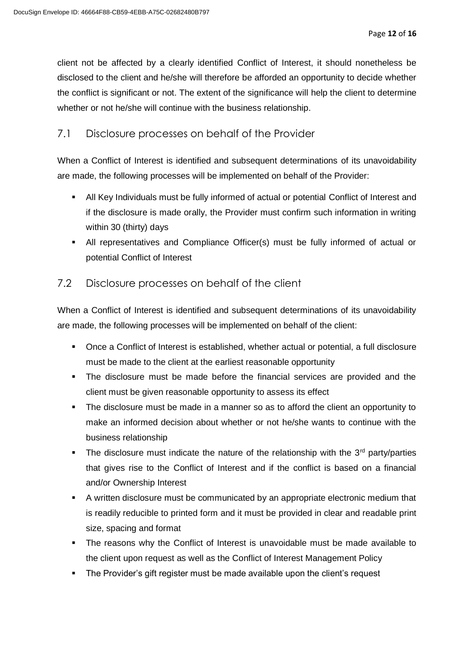client not be affected by a clearly identified Conflict of Interest, it should nonetheless be disclosed to the client and he/she will therefore be afforded an opportunity to decide whether the conflict is significant or not. The extent of the significance will help the client to determine whether or not he/she will continue with the business relationship.

#### <span id="page-11-0"></span>7.1 Disclosure processes on behalf of the Provider

When a Conflict of Interest is identified and subsequent determinations of its unavoidability are made, the following processes will be implemented on behalf of the Provider:

- All Key Individuals must be fully informed of actual or potential Conflict of Interest and if the disclosure is made orally, the Provider must confirm such information in writing within 30 (thirty) days
- All representatives and Compliance Officer(s) must be fully informed of actual or potential Conflict of Interest

### <span id="page-11-1"></span>7.2 Disclosure processes on behalf of the client

When a Conflict of Interest is identified and subsequent determinations of its unavoidability are made, the following processes will be implemented on behalf of the client:

- Once a Conflict of Interest is established, whether actual or potential, a full disclosure must be made to the client at the earliest reasonable opportunity
- The disclosure must be made before the financial services are provided and the client must be given reasonable opportunity to assess its effect
- The disclosure must be made in a manner so as to afford the client an opportunity to make an informed decision about whether or not he/she wants to continue with the business relationship
- **•** The disclosure must indicate the nature of the relationship with the  $3<sup>rd</sup>$  party/parties that gives rise to the Conflict of Interest and if the conflict is based on a financial and/or Ownership Interest
- A written disclosure must be communicated by an appropriate electronic medium that is readily reducible to printed form and it must be provided in clear and readable print size, spacing and format
- The reasons why the Conflict of Interest is unavoidable must be made available to the client upon request as well as the Conflict of Interest Management Policy
- **•** The Provider's gift register must be made available upon the client's request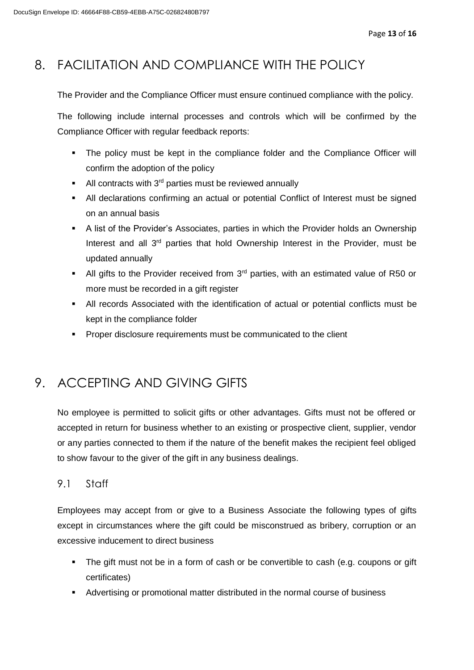# <span id="page-12-0"></span>8. FACILITATION AND COMPLIANCE WITH THE POLICY

The Provider and the Compliance Officer must ensure continued compliance with the policy.

The following include internal processes and controls which will be confirmed by the Compliance Officer with regular feedback reports:

- **•** The policy must be kept in the compliance folder and the Compliance Officer will confirm the adoption of the policy
- **EXECUTE:** All contracts with  $3^{rd}$  parties must be reviewed annually
- All declarations confirming an actual or potential Conflict of Interest must be signed on an annual basis
- **EXT** A list of the Provider's Associates, parties in which the Provider holds an Ownership Interest and all  $3<sup>rd</sup>$  parties that hold Ownership Interest in the Provider, must be updated annually
- **EXECT** All gifts to the Provider received from  $3<sup>rd</sup>$  parties, with an estimated value of R50 or more must be recorded in a gift register
- All records Associated with the identification of actual or potential conflicts must be kept in the compliance folder
- Proper disclosure requirements must be communicated to the client

# <span id="page-12-1"></span>9. ACCEPTING AND GIVING GIFTS

No employee is permitted to solicit gifts or other advantages. Gifts must not be offered or accepted in return for business whether to an existing or prospective client, supplier, vendor or any parties connected to them if the nature of the benefit makes the recipient feel obliged to show favour to the giver of the gift in any business dealings.

#### <span id="page-12-2"></span>9.1 Staff

Employees may accept from or give to a Business Associate the following types of gifts except in circumstances where the gift could be misconstrued as bribery, corruption or an excessive inducement to direct business

- The gift must not be in a form of cash or be convertible to cash (e.g. coupons or gift certificates)
- Advertising or promotional matter distributed in the normal course of business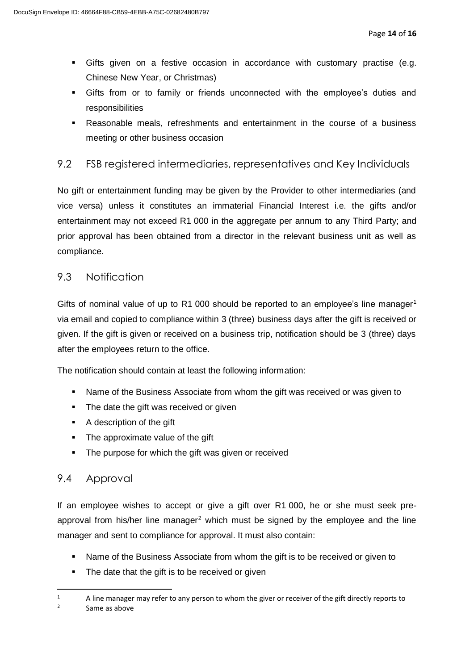- Gifts given on a festive occasion in accordance with customary practise (e.g. Chinese New Year, or Christmas)
- Gifts from or to family or friends unconnected with the employee's duties and responsibilities
- Reasonable meals, refreshments and entertainment in the course of a business meeting or other business occasion

#### <span id="page-13-0"></span>9.2 FSB registered intermediaries, representatives and Key Individuals

No gift or entertainment funding may be given by the Provider to other intermediaries (and vice versa) unless it constitutes an immaterial Financial Interest i.e. the gifts and/or entertainment may not exceed R1 000 in the aggregate per annum to any Third Party; and prior approval has been obtained from a director in the relevant business unit as well as compliance.

#### <span id="page-13-1"></span>9.3 Notification

Gifts of nominal value of up to R1 000 should be reported to an employee's line manager<sup>1</sup> via email and copied to compliance within 3 (three) business days after the gift is received or given. If the gift is given or received on a business trip, notification should be 3 (three) days after the employees return to the office.

The notification should contain at least the following information:

- Name of the Business Associate from whom the gift was received or was given to
- The date the gift was received or given
- A description of the gift
- The approximate value of the gift
- The purpose for which the gift was given or received

#### <span id="page-13-2"></span>9.4 Approval

If an employee wishes to accept or give a gift over R1 000, he or she must seek preapproval from his/her line manager<sup>2</sup> which must be signed by the employee and the line manager and sent to compliance for approval. It must also contain:

- Name of the Business Associate from whom the gift is to be received or given to
- The date that the gift is to be received or given
- 1  $1 - 4$  A line manager may refer to any person to whom the giver or receiver of the gift directly reports to <sup>2</sup> Same as above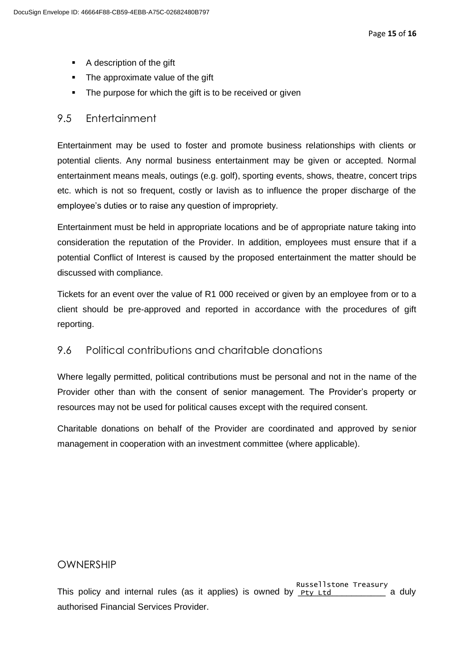- A description of the gift
- The approximate value of the gift
- The purpose for which the gift is to be received or given

#### <span id="page-14-0"></span>9.5 Entertainment

Entertainment may be used to foster and promote business relationships with clients or potential clients. Any normal business entertainment may be given or accepted. Normal entertainment means meals, outings (e.g. golf), sporting events, shows, theatre, concert trips etc. which is not so frequent, costly or lavish as to influence the proper discharge of the employee's duties or to raise any question of impropriety.

Entertainment must be held in appropriate locations and be of appropriate nature taking into consideration the reputation of the Provider. In addition, employees must ensure that if a potential Conflict of Interest is caused by the proposed entertainment the matter should be discussed with compliance.

Tickets for an event over the value of R1 000 received or given by an employee from or to a client should be pre-approved and reported in accordance with the procedures of gift reporting.

#### <span id="page-14-1"></span>9.6 Political contributions and charitable donations

Where legally permitted, political contributions must be personal and not in the name of the Provider other than with the consent of senior management. The Provider's property or resources may not be used for political causes except with the required consent.

<span id="page-14-2"></span>Charitable donations on behalf of the Provider are coordinated and approved by senior management in cooperation with an investment committee (where applicable).

#### OWNERSHIP

This policy and internal rules (as it applies) is owned by  $p_{ty}$   $_{tt}$   $_{tt}$   $_{tt}$  a duly authorised Financial Services Provider. Russellstone Treasury<br>Pty Ltd \_\_\_\_\_\_\_\_\_\_\_ a duly